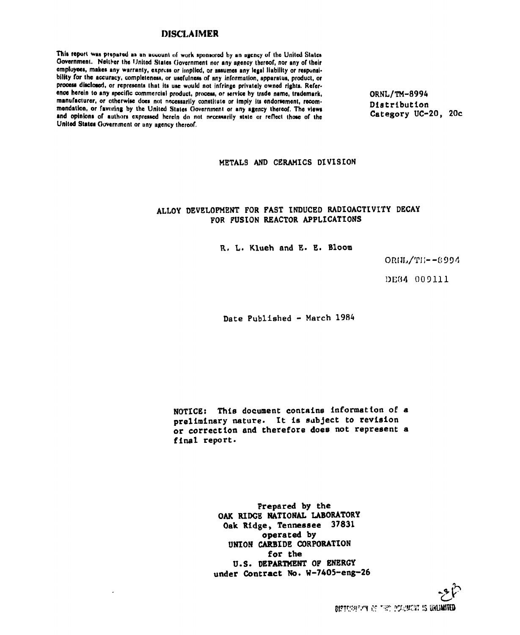## **DISCLAIMER**

This report was prepared as an account of work sponsored by an agency of the United States Government. Neither the United States Government nor any agency thereof, nor any of their employees, makes any warranty, express or implied, or assumes any legal liability or responsibility for the accuracy, completeness, or usefulness of any information, apparatus, product, or process disclosed, or represents that its use would not infringe privately owned rights. Refer**ence herein to any apecific commercial product, proceaa, or aervice by trade name, trademark, ORNL/TM-8994**  manufacturer, or otherwise does not necessarily constitute or imply its endorsement, recom-<br>Distribution mendation, or favoring by the United States Government or any agency thereof. The views **Example 2018** Late 2018 2018 and original control and original control of the control of the Category UC-20, 200 and opinions of authors expressed herein do not necessarily state or reflect those of the United States Government or uny agency thereof.

# **METALS AND CERAMICS DIVISION**

# **ALLOY DEVELOPMENT FOR FAST INDUCED RADIOACTIVITY DECAY FOR FUSION REACTOR APPLICATIONS**

**R. L. Klueh and E. E. Bloom** 

**ORIJI** J **/TII— 8 99 4** 

**DE0 4 0 0 911 1** 

**Date Published - March 1984** 

**NOTICE: This document contains information of a preliminary nature. It is subject to revision or correction and therefore does not represent a final report.** 

> **Prepared by the OAK RIDGE NATIONAL LABORATORY Oak Ridge, Tennessee 37831 operated by UNION CARBIDE CORPORATION for the U.S. DEPARTMENT OF ENERGY under Contract No. W-7405-eng-26**

> > *zF*  DISTURNERY OF THE POLICIET IS UNLIMITED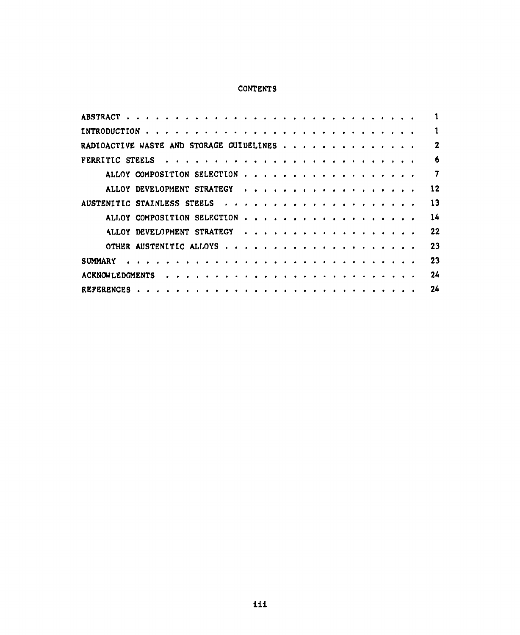# CONTENTS

| RADIOACTIVE WASTE AND STORAGE GUIDELINES |    |
|------------------------------------------|----|
|                                          | 6  |
|                                          |    |
| ALLOY DEVELOPMENT STRATEGY               | 12 |
|                                          | 13 |
| ALLOY COMPOSITION SELECTION              | 14 |
| ALLOY DEVELOPMENT STRATEGY               | 22 |
|                                          | 23 |
| SUMMARY                                  | 23 |
| <b>ACKNOWLEDGMENTS</b>                   | 24 |
|                                          | 24 |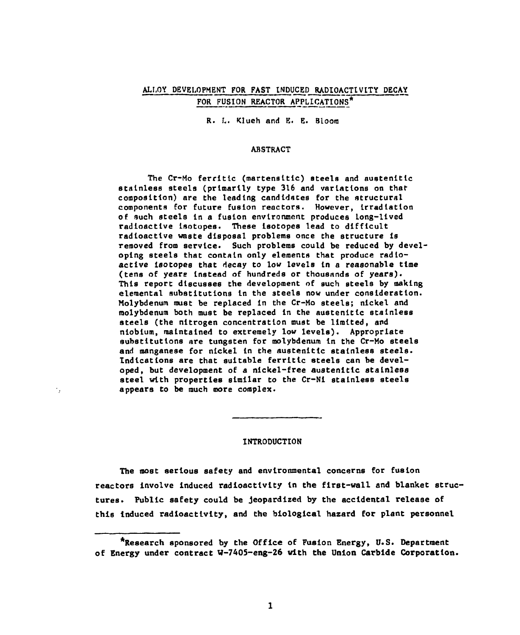# ALLOY DEVELOPMENT FOR FAST INDUCED RADIOACTIVITY DECAY FOR FUSION REACTOR APPLICATIONS\*

R. L. Klueh and E. E. Bloom

### ABSTRACT

The Cr-Mo ferritic (martensitic) steels and austenitic stainless steels (primarily type 316 and variations on that composition) are the leading candidates for the structural components for future fusion reactors. However, irradiation of such steels In a fusion environment produces Long-lived radioactive Isotopes. These Isotopes lead to difficult radioactive waste disposal problems once the structure Is removed from service. Such problems could be reduced by developing steels that contain only elements that produce radioactive isotopes that decay to low levels in a reasonable time (tens of years Instead of hundreds or thousands of years). This report discusses the development of such steels by making elemental substitutions In the steels now under consideration. Molybdenum must be replaced in the Cr-Mo steels; nickel and molybdenum both must be replaced in the austenitlc stainless steels (the nitrogen concentration must be limited, and niobium, maintained to extremely low levels). Appropriate substitutions are tungsten for molybdenum in the Cr-Mo steels and manganese for nickel In the austenitic stainless steels. Indications are that suitable ferritlc steels can be developed, but development of a nickel-free austenltlc stainless steel with properties similar to the Cr-Nl stainless steels appears to be much more complex.

#### INTRODUCTION

÷.

The most serious safety and environmental concerns for fusion reactors involve Induced radioactivity in the first-wall and blanket structures. Public safety could be jeopardized by the accidental release of this Induced radioactivity, and the biological hazard for plant personnel

<sup>^</sup>Research sponsored by the Office of Fusion Energy, U.S. Department of Energy under contract W-7405-eng-26 with the Union Carbide Corporation.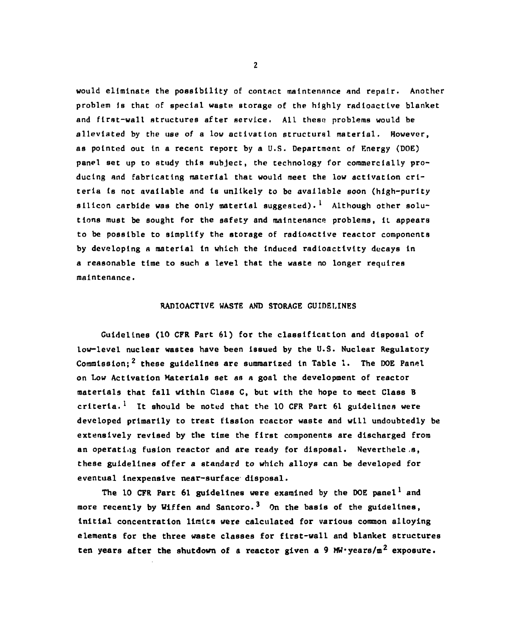would eliminate the possibility of contact maintenance and repair. Another problem is that of special waste storage of the highly radioactive blanket and first-wall structures after service. All these problems would be alleviated by the use of a low activation structural material. However, as pointed out In a recent report by a U.S. Department of Energy (DOE) panel set up to study this subject, the technology for commercially producing and fabricating material that would meet the low activation criteria is not available and is unlikely to be available soon (high-purity sllicon carbide was the only material suggested). Although other solutions must be sought for the safety and maintenance problems, it appears to be possible to simplify the storage of radioactive reactor components by developing A material In which the Induced radioactivity decays in a reasonable time to such a level that the waste no longer requires maintenance.

### RADIOACTIVE WASTE AND STORAGE GUIDELINES

Guidelines (10 CFR Part 61) for the classification and disposal of low-level nuclear wastes have been issued by the U.S. Nuclear Regulatory Commission;<sup>2</sup> these guidelines are summarized in Table 1. The DOE Panel on Low Activation Materials set as a goal the development of reactor materials that fall within Class C, but with the hope to meet Class B criteria.<sup>1</sup> It should be noted that the 10 CFR Part 61 guidelines were developed primarily to treat fission rcactor waste and will undoubtedly be extensively revised by the time the first components are discharged from an operating fusion reactor and are ready for disposal. Nevertheless, these guidelines offer a standard to which alloys can be developed for eventual inexpensive near-surface disposal.

The 10 CFR Part 61 guidelines were examined by the DOE panel<sup>1</sup> and more recently by Wiffen and Santoro.<sup>3</sup> On the basis of the guidelines, initial concentration limits were calculated for various common alloying elements for the three waste classes for first-wall and blanket structures ten years after the shutdown of a reactor given a 9 MW years/m<sup>2</sup> exposure.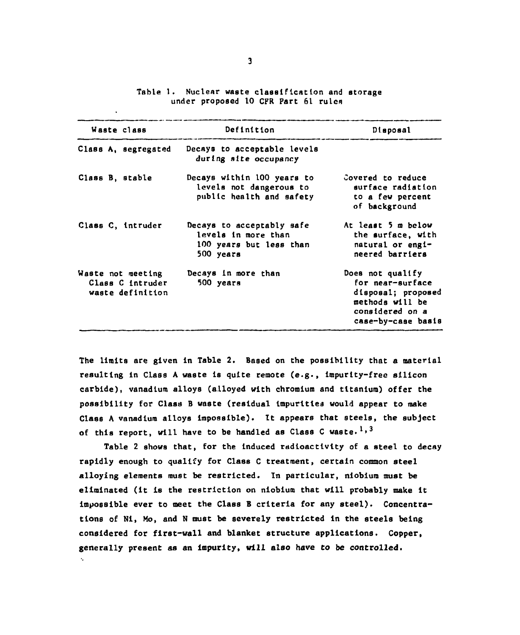| Waste class     |                                                           | Definition                                                                               | Disposal                                                                                                               |  |
|-----------------|-----------------------------------------------------------|------------------------------------------------------------------------------------------|------------------------------------------------------------------------------------------------------------------------|--|
|                 | Class A, segregated                                       | Decays to acceptable levels<br>during site occupancy                                     |                                                                                                                        |  |
| Class B, stable |                                                           | Decays within 100 years to<br>levels not dangerous to<br>public health and safety        | Covered to reduce<br>surface radiation<br>to a few percent<br>of background                                            |  |
|                 | Class C. intruder                                         | Decays to acceptably safe<br>levels in more than<br>100 years but less than<br>500 years | At least 5 m below<br>the surface, with<br>natural or engi-<br>neered barriers                                         |  |
|                 | Waste not meeting<br>Class C intruder<br>waste definition | Decays in more than<br>500 years                                                         | Does not qualify<br>for near-surface<br>disposal; proposed<br>methods will be<br>considered on a<br>case-by-case basis |  |

Table 1. Nuclear waste classification and storage under proposed 10 CFR Part 61 rules

The limits are given In Table 2. Based on the possibility that a material resulting In Class A waste Is quite remote (e.g., Impurity-free silicon carbide), vanadium alloys (alloyed with chromium and titanium) offer the possibility for Class B waste (residual impurities would appear to make Class A vanadium alloys impossible). It appears that steels, the subject of this report, will have to be handled as Class C waste.<sup>1,3</sup>

Table 2 shows that, for the induced radioactivity of a steel to decay rapidly enough to qualify for Class C treatment, certain common steel alloying elements must be restricted. In particular, niobium must be eliminated (it is the restriction on niobium that will probably make it impossible ever to meet the Class B criteria for any steel). Concentrations of NI, Mo, and N must be severely restricted in the steels being considered for first-wall and blanket structure applications. Copper, generally present as an Impurity, will also have to be controlled.

 $\mathbf{v}_i$  .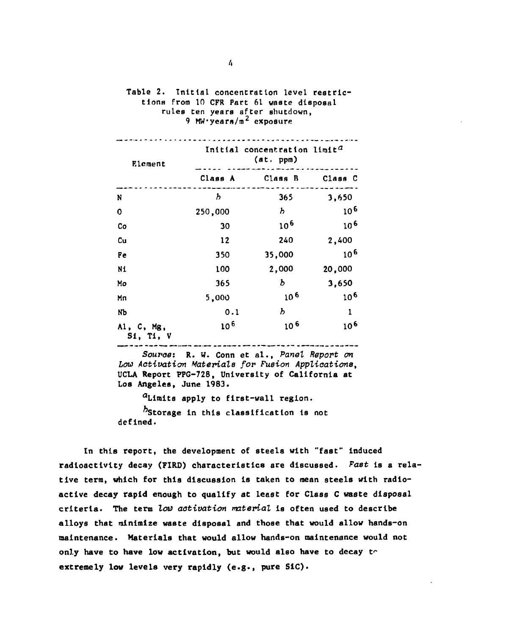| Element                 | Initial concentration limit <sup>a</sup><br>(at. ppm) |                 |          |  |  |
|-------------------------|-------------------------------------------------------|-----------------|----------|--|--|
|                         | Class A                                               | Class B         | Class C  |  |  |
| N                       | $\bm{b}$                                              | 365             | 3,650    |  |  |
| 0                       | 250,000                                               | Ь               | $10^{6}$ |  |  |
| Co                      | 30                                                    | $10^{6}$        | $10^{6}$ |  |  |
| Cu                      | 12                                                    | 240             | 2,400    |  |  |
| Fe                      | 350                                                   | 35,000          | $10^{6}$ |  |  |
| N1                      | 100                                                   | 2,000           | 20,000   |  |  |
| Mo                      | 365                                                   | ь               | 3,650    |  |  |
| Mn                      | 5,000                                                 | 10 <sup>6</sup> | $10^{6}$ |  |  |
| NЪ                      | 0.1                                                   | b               | ı        |  |  |
| AI, C, Mg,<br>S1, T1, V | 10 <sup>6</sup>                                       | $10^{6}$        | $10^{6}$ |  |  |

Table 2. Initial concentration level restrictions from 10 CFR Part 61 waste disposal rules ten years after shutdown, 9 MW·years/m<sup>2</sup> exposure

*Source:* R. W. Conn et al., *Panel Report on Lou Activation Materials for Fusion Applications,*  UCLA Report PPG-728, University of California at Los Angeles, June 1983.

a Limits apply to first-wall region.

 $b$ Storage in this classification is not defined.

In this report, the development of steels with "fast" Induced radioactivity decay (FIRD) characteristics are discussed. *Fast* is a relative term, which for this discussion is taken to mean steels with radioactive decay rapid enough to qualify at least for Class C waste disposal criteria. The term *low activation material* is often used to describe alloys that minimize waste disposal and those that would allow hands-on maintenance. Materials that would allow hands-on maintenance would not only have to have low activation, but would also have to decay  $t^*$ extremely low levels very rapidly (e.g., pure SIC).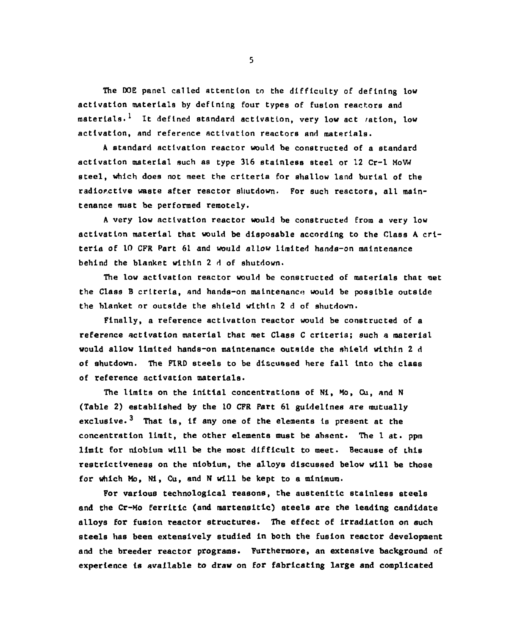The DOE panel called attention to the difficulty of defining low activation materials by defining four types of fusion reactors and materials.<sup>1</sup> It defined standard activation, very low act *r*ation, low activation, and reference activation reactors and materials.

A standard activation reactor would be constructed of a standard activation material such as type 316 stainless steel or 12 Cr-1 MoVW steel, which does not meet the criteria for shallow land burial of the radiorctlve waste after reactor shutdown. For such reactors, all maintenance must be performed remotely.

A very low activation reactor would be constructed from a very low activation material that would be disposable according to the Class A criteria of 10 CPR Part 61 and would allow limited hands-on maintenance behind the blanket within 2 d of shutdown.

The low activation reactor would be constructed of materials that met the Class B criteria, and hands-on maintenance would be possible outside the blanket or outside the shield within 2 d of shutdown.

Finally, a reference activation reactor would be constructed of a reference activation material that met Class C criteria; such a material would allow limited hands-on maintenance outside the shield within 2 d of shutdown. The FIRD steels to be discussed here fall Into the class of reference activation materials.

The limits on the initial concentrations of Ni, Mo, Cu, and N (Table 2) established by the 10 CFR Part 61 guidelines are mutually exclusive.<sup>3</sup> That is, if any one of the elements is present at the concentration limit, the other elements must be absent. The 1 at. ppm limit for niobium will be the most difficult to meet. Because of this restrictlveness on the niobium, the alloys discussed below will be those for which Mo, NI, Cu, and N will be kept to a minimum.

For various technological reasons, the austenitlc stainless steels and the Cr-Mo ferritic (and martensitic) steels are the leading candidate alloys for fusion reactor structures. The effect of irradiation on such steels has been extensively studied in both the fusion reactor development and the breeder reactor programs. Furthermore, an extensive background of experience is available to draw on for fabricating large and complicated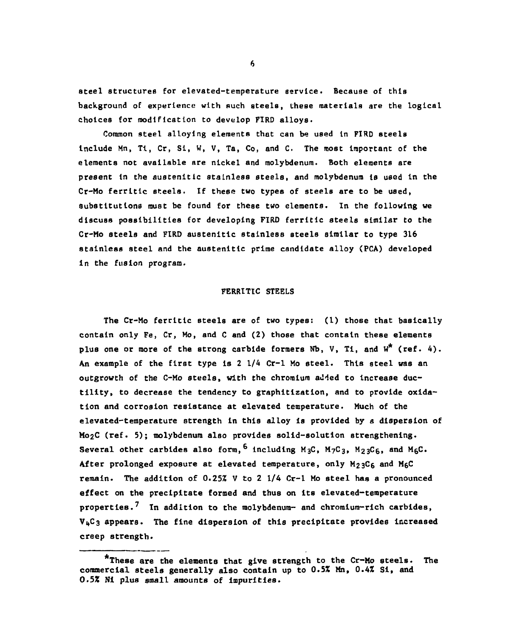steel structures for elevated-temperature service. Because of this background of experience with such steels, these materials are the logical choices for modification to develop FIRD alloys.

Common steel alloying elements that can be used In FIRD steels Include Mn, Tl, Cr, Si, W, V, Ta, Co, and C. The most Important of the elements not available are nickel and molybdenum. Both elements are present In the austenltlc stainless steels, and molybdenum is used in the Cr-Mo ferritlc steels. If these two types of steels are to be used, substitutions must be found for these two elements. In the following we discuss possibilities for developing FIRD ferritic steels similar to the Cr-Mo steels and FIRD austenltlc stainless steels similar to type 316 stainless steel and the austenitlc prime candidate alloy (PCA) developed in the fusion program.

### FERRITIC STEELS

The Cr-Mo ferritic steels are of two types: (1) those that basically contain only Fe, Cr, Mo, and C and (2) those that contain these elements plus one or more of the strong carbide formers Nb, V, Ti, and  $W^*$  (ref. 4). An example of the first type is 2 1/4 Cr-1 Mo steel. This steel was an<br>outgrowth of the C-Mo steels, with the chromium added to increase ducoutgrowth of the C-Mo steels, with the chromium added to Increase ductility, to decrease the tendency to graphitizatlon, and to provide oxidation and corrosion resistance at elevated temperature. Much of the elevated-temperature strength in this alloy is provided by a dispersion of  $Mo_2C$  (ref. 5); molybdenum also provides solid-solution strengthening.  $\frac{1}{2}$ c (ref. 5); modybdenum also provides solid-solid-solution strengthening. Several other carbides also form,<sup>6</sup> including **M3C , M7C3 ,** M23C6, and MgC. After prolonged exposure at elevated temperature, only  $M_{23}C_6$  and  $M_6C$ remain. The addition of 0.25% V to 2 1/4 Cr-1 Mo steel has a pronounced effect on the precipitate formed and thus on its elevated-temperature properties. In addition to the molybdenum- and chromium rich carbides,  $V<sub>4</sub>C<sub>3</sub>$  appears. The fine dispersion of this precipitate provides increased creep strength.

<sup>\*</sup>These are the elements that give strength to the Cr-Mo steels. The commercial steels generally also contain up to 0.5% Mn, 0.4Z Si, and *0.5%* N1 plus small amounts of impurities.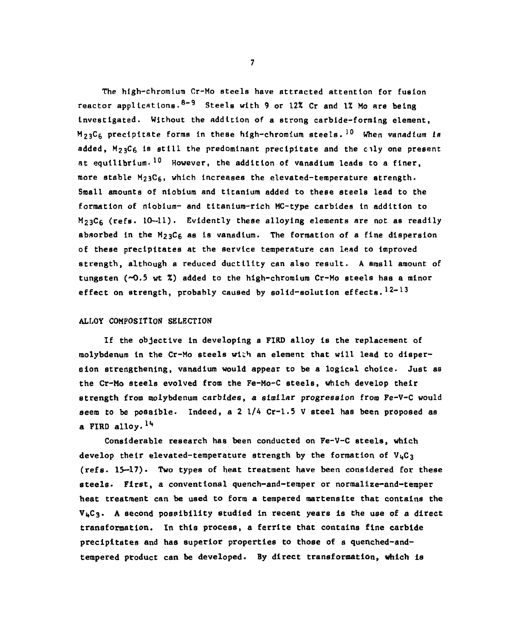The hlgh-chromlum Cr-Mo steels have attracted attention for fusion reactor applications.<sup>8-9</sup> Steels with 9 or 12% Cr and 1% Mo are being Investigated. Without the addition of a strong carbide-forming element,  $\texttt{M}_{23}\texttt{C}_6$  precipitate forms in these high-chromium steels. $^{10}$  When vanadium is  $^{10}$ added, M23C6 Is still the predominant precipitate and the cily one present at equilibrium<sup>. 10</sup> However, the addition of vanadium leads to a finer, more stable  $M_23C_6$ , which increases the elevated-temperature strength. Small amounts of niobium and titanium added to these steels lead to the formation of niobium- and tltanlum-rich MC-type carbides In addition to  $M<sub>23</sub>CG$  (refs. 10-11). Evidently these alloying elements are not as readily absorbed in the M<sub>23</sub>C<sub>6</sub> as is vanadium. The formation of a fine dispersion of these precipitates at the service temperature can lead to improved strength, although a reduced ductility can also result. A small amount of tungsten (~0.5 wt %) added to the high-chromium Cr-Mo steels has a minor effect on strength, probably caused by solid-solution effects.  $12-13$ 

### ALLOY COMPOSITION SELECTION

If the objective In developing a FIRD alloy is the replacement of molybdenum In the Cr-Mo steels with an element that will lead to dispersion strengthening, vanadium would appear to be a logical choice. Just as the Cr-Mo steels evolved from the Fe-Mo-C steels, which develop their strength from molybdenum carbides, a similar progression from Fe-V-C would seem to be possible. Indeed, a 2 1/4 Cr-1.5 V steel has been proposed as a FIRD alloy.  $14$ 

Considerable research has been conducted on Fe-V-C steels, which develop their elevated-temperature strength by the formation of  $V<sub>4</sub>C<sub>3</sub>$ (refs. 15—17). Two types of heat treatment have been considered for these steels. First, a conventional quench-and-temper or normallze-and-temper heat treatment can be used to form a tempered martensite that contains the  $V<sub>4</sub>C<sub>3</sub>$ . A second possibility studied in recent years is the use of a direct transformation. In this process, a ferrlte that contains fine carbide precipitates and has superior properties to those of a quenched-andtempered product can be developed. By direct transformation, which is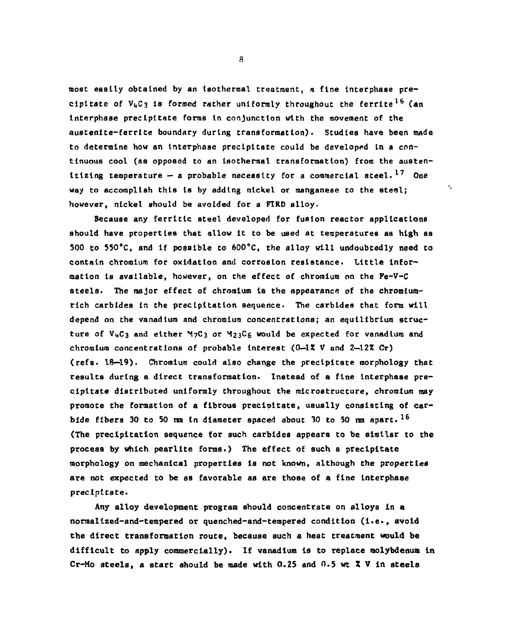most easily obtained by an Isothermal treatment, a fine Interphase precipitate of  $V_4C_3$  is formed rather uniformly throughout the ferrite<sup>16</sup> (an interphase precipitate forms in conjunction with the movement of the austenite-ferrite boundary during transformation). Studies have been made to determine how an interphase precipitate could be developed In a continuous cool (as opposed to an Isothermal transformation) from the austenitizing temperature  $-$  a probable necessity for a commercial steel.<sup>17</sup> One way to accomplish this Is by adding nickel or manganese to the steel; however, nickel should be avoided for a F1RD alloy.

 $\mathbf{r}_i$ 

Because any ferrltlc steel developed for fusion reactor applications should have properties that allow it to be used at temperatures as high as 500 to 550°C, and if possible to 600°C, the alloy will undoubtedly need to contain chromium for oxidation and corrosion resistance. Little Information Is available, however, on the effect of chromium on the Fe-V-C steels. The major effect of chromium is the appearance of the chromiumrich carbides in the precipitation sequence. The carbides that form will depend on the vanadium and chromium concentrations; an equilibrium structure of V4C3 and either M7C3 or M23C6 would be expected for vanadium and chromium concentrations of probable interest (0—12 V and *2—lZZ* Cr) (refs. 18—19). Chromium could also change the precipitate morphology that results during a direct transformation. Instead of a fine Interphase precipitate distributed uniformly throughout the mlcrostructure, chromium may promote the formation of a fibrous precipitate, usually consisting of carbide fibers 30 to 50 nm in diameter spaced about 30 to 50 nm apart.  $16$ (The precipitation sequence for such carbides appears to be similar to the process by which pearlite forms.) The effect of such a precipitate morphology on mechanical properties is not known, although the properties are not expected to be as favorable as are those of a fine interphase precipitate.

Any alloy development program should concentrate on alloys in a normalized-and-tempered or quenched-and-tempered condition (i.e., avoid the direct transformation route, because such a heat treatment would be difficult to apply commercially). If vanadium is to replace molybdenum in Cr-Mo steels, a start should be made with 0.25 and 0.5 wt  $X \nV$  in steels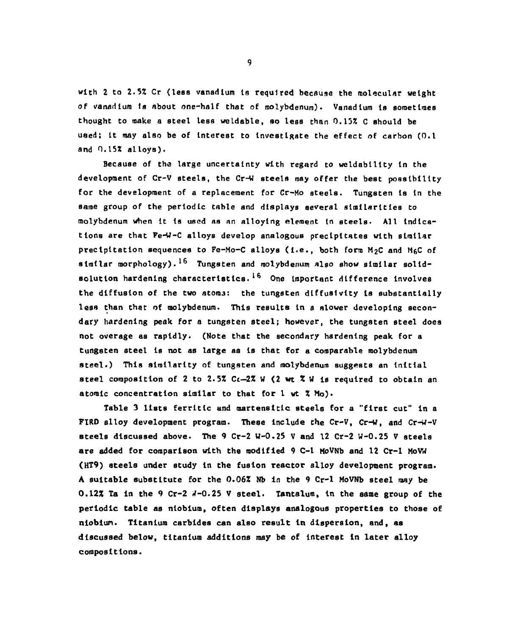with 2 to 2.5% Cr (less vanadium la required becauge the molecular weight *of* vanadium ta about one-half that of molybdenum). Vanadium la sometimes thought to make a steel less weldable, so less than 0.13% C should be used; It may also be of Interest to Investigate the effect of carbon (0.1 and 0.15% alloys).

Because of the large uncertainty with regard to weldablllty In the development of Cr-V steels, the Cr-W steels may offer the best possibility for the development of a replacement for Cr-Mo steels. Tungsten Is In the same group of the periodic table and displays several similarities to molybdenum when It la used as an alloying element in steels. All Indications are that Fe-W-C alloys develop analogous precipitates with similar precipitation sequences to Fe-Mo-C alloys (I.e., both form M2C and MgC of similar morphology).<sup>16</sup> Tungsten and molybdenum also show similar solidsolution hardening characteristics.<sup>16</sup> One important difference involves the diffusion of the two atoms: the tungsten dlffualvlty Is substantially less than that of molybdenum. This results In a slower developing aecondary hardening peak for a tungsten steel; however, the tungsten steel does not overage as rapidly. (Note that the secondary hardening peak for a tungsten ateel Is not as large aa Is that for a comparable molybdenum steel.) This similarity of tungsten and molybdenum suggests an initial steel composition of 2 to 2.5%  $Ct-2$ % W (2 wt  $\tilde{X}$  W is required to obtain an atomic concentration similar to that for 1 wt % Mo).

Table 3 lists ferritlc and martensitic steels for a "first cut" in a FIRD alloy development program. These include the Cr-V, Cr-W, and Cr-W-V steels discussed above. The 9 Cr-2 W-0.25 V and 12 Cr-2 W-0.25 V steels are added for comparison with the modified 9 C-1 MoVNb and 12 Cr-1 MoVW (HT9) steels under study in the fusion reactor alloy development program. A suitable substitute for the 0.06% Nb In the 9 Cr-1 MoVNb steel may be 0.12% Ta in the 9 Cr-2 4-0.25 V steel. Tantalum, in the same group of the periodic table as niobium, often displays analogous properties to those of niobiun. Titanium carbides can also result in dispersion, and, as discussed below, titanium additions may be of interest in later alloy compositions.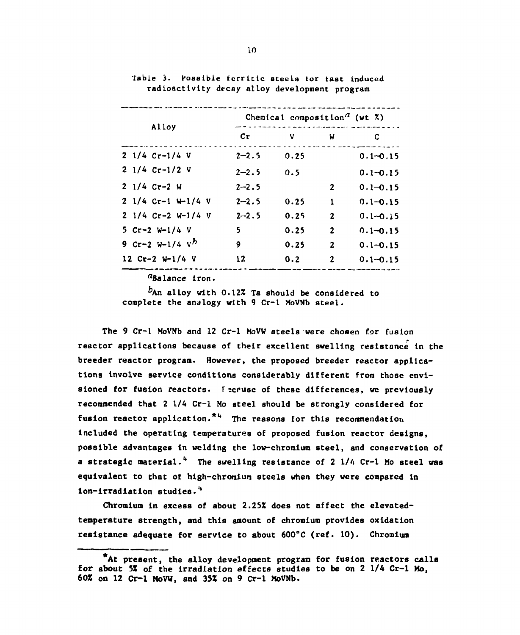|                              | Chemical composition <sup><math>a</math></sup> (wt $\bar{x}$ ) |      |                |              |  |
|------------------------------|----------------------------------------------------------------|------|----------------|--------------|--|
| Alloy                        | cr                                                             | v    | W              | C            |  |
| $2 \frac{1}{4}$ Cr-1/4 V     | $2 - 2.5$                                                      | 0.25 |                | $0.1 - 0.15$ |  |
| $2 \frac{1}{4}$ Cr-1/2 V     | $2 - 2.5$                                                      | 0.5  |                | $0.1 - 0.15$ |  |
| $21/4$ Cr-2 W                | $2 - 2.5$                                                      |      | $\mathbf{2}$   | $0.1 - 0.15$ |  |
| $2 \frac{1}{4}$ Cr-1 W-1/4 V | $2 - 2.5$                                                      | 0.25 | $\mathbf{1}$   | $0.1 - 0.15$ |  |
| $2 \frac{1}{4}$ Cr-2 W-1/4 V | $2 - 2.5$                                                      | 0.25 | $\mathbf{2}$   | $0.1 - 0.15$ |  |
| 5 $Cr-2$ W-1/4 V             | 5                                                              | 0.25 | $\overline{2}$ | $0.1 - 0.15$ |  |
| 9 $Cr-2 W-1/4 V^h$           | 9                                                              | 0.25 | $\mathbf{2}$   | $0.1 - 0.15$ |  |
| $12$ Cr-2 W-1/4 V            | 12                                                             | 0.2  | $\mathbf{2}$   | $0.1 - 0.15$ |  |

Table 3. Possible ferritic steels for fast induced radioactivity decay alloy development program

 $a_{\text{Balance}}$  iron.

 $b$ An alloy with 0.12% Ta should be considered to complete the analogy with 9 Cr-1 MoVNb steel.

The 9 Cr-1 MoVNb and 12 Cr-1 MoVW steels were chosen for fusion reactor applications because of their excellent swelling resistance in the breeder reactor program. However, the proposed breeder reactor applications involve service conditions considerably different from those envisioned for fusion reactors. *I* acquise of these differences, we previously recommended that 2 1/4 Cr-1 Mo steel should be strongly considered for fusion reactor application.<sup>\*4</sup> The reasons for this recommendation Included the operating temperatures of proposed fusion reactor designs, possible advantages in welding the low-chromium steel, and conservation of a strategic material.<sup>4</sup> The swelling resistance of 2 1/4 Cr-1 Mo steel was equivalent to that of high-chromium steels when they were compared in ion-irradiation studies.\*4

Chromium in excess of about 2.25% does not affect the elevatedtemperature strength, and this amount of chromium provides oxidation resistance adequate for service to about 600°C (ref. 10). Chromium

<sup>\*</sup>At present, the alloy development program for fusion reactors calls for about 5% of the irradiation effects studies to be on 2 1/4 Cr-1 Mo, 60% on 12 Cr-1 MoVW, and 35% on 9 Cr-1 MoVNb.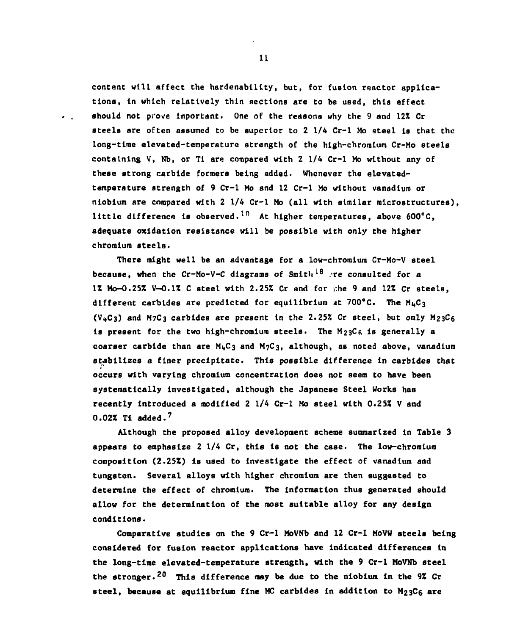content will affect the hardenablllty, but, for fusion reactor applications, in which relatively thin sections are to be used, this effect should not prove important. One of the reasons why the 9 and 12% Cr steels are often assumed to be superior to 2 1/4 Cr-1 Mo steel Is that the long-time elevated-temperature strength of the high-chromium Cr-Mo steels containing V, Nb, or T1 are compared with 2 1/4 Cr-1 Mo without any of these strong carbide formers being added. Whenever the elevatedtemperature strength of 9 Cr-1 Mo and 12 Cr-1 Mo without vanadium or niobium are compared with 2 1/4 Cr-1 Mo (all with similar microstructures), little difference is observed.<sup>10</sup> At higher temperatures, above 600 $^{\circ}$ C, adequate oxidation resistance will be possible with only the higher chromium steels.

There might well be an advantage for a low-chromium Cr-Mo-V steel because, when the Cr-Mo-V-C diagrams of Smith<sup>18</sup> re consulted for a 1% Mo-O.25% V-O.1% C steel with 2.25% Cr and for r.he 9 and 12% Cr steels, different carbides are predicted for equilibrium at 700°C. The **M**i,**C**3 (V<sub>4</sub>C<sub>3</sub>) and M<sub>7</sub>C<sub>3</sub> carbides are present in the 2.25% Cr steel, but only M<sub>23</sub>C<sub>6</sub> is present for the two high-chromium steels. The  $M_{23}C_6$  is generally a coarser carbide than are  $M<sub>4</sub>C<sub>3</sub>$  and  $M<sub>7</sub>C<sub>3</sub>$ , although, as noted above, vanadium stabilizes a finer precipitate. This possible difference in carbides that occurs with varying chromium concentration does not seem to have been systematically investigated, although the Japanese Steel Works has recently Introduced a modified 2 1/4 Cr-1 Mo steel with 0.25% V and  $0.02$ % Ti added.<sup>7</sup>

Although the proposed alloy development scheme summarized in Table 3 appears to emphasize  $2 \frac{1}{4}$  Cr, this is not the case. The low-chromium composition (2.25%) is used to investigate the effect of vanadium and tungsten. Several alloys with higher chromium are then suggested to determine the effect of chromium. The information thua generated should allow for the determination of the most suitable alloy for any design conditions.

Comparative studies on the 9 Cr-1 MoVNb and 12 Cr-1 MoVW steels being considered for fusion reactor applications have indicated differences in the long-time elevated-temperature strength, with the 9 Cr-1 MoVNb steel the stronger.<sup>20</sup> This difference may be due to the niobium in the 9% Cr steel, because at equilibrium fine MC carbides in addition to  $M_{23}C_6$  are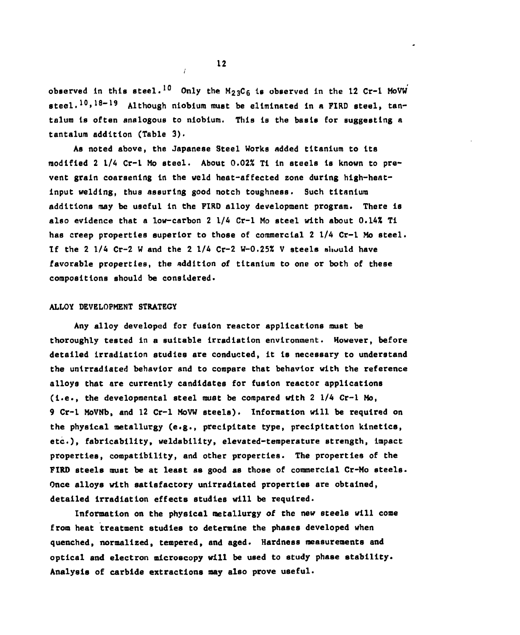observed in this steel.<sup>10</sup> Only the M<sub>23</sub>C<sub>6</sub> is observed in the 12 Cr-1 MoVW steel.<sup>10</sup>,<sup>18-19</sup> Although niobium must be eliminated in a FIRD steel, tantalum is often analogous to niobium. This is the basis for suggesting a tantalum addition (Table 3).

As noted above, the Japanese Steel Works added titanium to its modified 2 1/4 Cr-1 Mo steel. About 0.02% TI in steels is known to prevent grain coarsening in the weld heat-affected zone during high-heatlnput welding, thus assuring good notch toughness. Such titanium additions may be useful in the FIRO alloy development program. There is also evidence that a low-carbon 2 1/4 Cr-1 Mo steel with about 0.14% Ti has creep properties superior to those of commercial 2 1/4 Cr-1 Mo steel. If the *2* 1/4 Cr-2 W and the 2 1/4 Cr-2 W-O.25% V steels shuuld have favorable properties, the addition of titanium to one or both of these compositions should be considered.

#### ALLOY DEVELOPMENT STRATEGY

Any alloy developed for fusion reactor applications must be thoroughly tested in a suitable irradiation environment. However, before detailed irradiation studies are conducted, it Is necessary to understand the unirradiated behavior and to compare that behavior with the reference alloys that are currently candidates for fusion reactor applications (i.e., the developmental steel must be compared with  $2 \frac{1}{4}$  Cr-1 Mo, 9 Cr-1 MoVNb, and 12 Cr-1 MoVW steels). Information will be required on the physical metallurgy (e.g., precipitate type, precipitation kinetics, etc.), fabrlcability, weldability, elevated-temperature strength, Impact properties, compatibility, and other properties. The properties of the FIRD steels must be at least as good as those of commercial Cr-Mo steels. Once alloys with satisfactory unirradiated properties are obtained, detailed irradiation effects studies will be required.

Information on the physical metallurgy of the new steels will come from heat treatment studies to determine the phases developed when quenched, normalized, tempered, and aged. Hardness measurements and optical and electron microscopy will be used to study phase stability. Analysis of carbide extractions may also prove useful.

/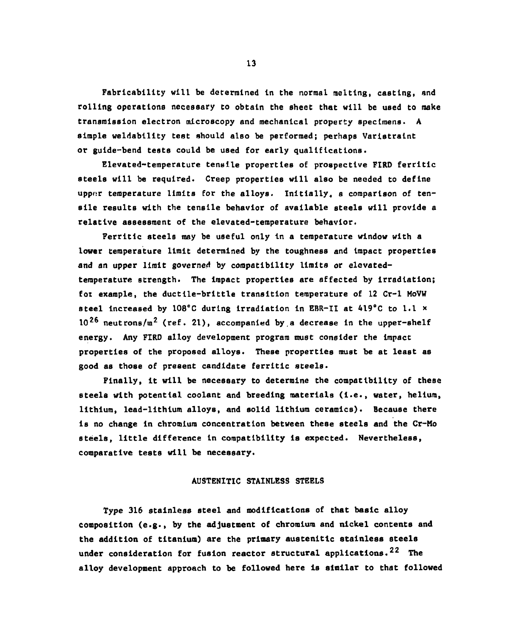Fabricabillty will be determined in the normal melting, casting, and rolling operations necessary to obtain the sheet that will be used to make transmission electron microscopy and mechanical property specimens. A simple weldablllty test should also be performed; perhaps Varistraint or guide-bend tests could be used for early qualifications.

Elevated-temperature tensile propertiea of prospective FIRD ferrltic steels will be required. Creep properties will also be needed to define upper temperature limits for the alloys. Initially, a comparison of tensile results with the tensile behavior of available steels will provide a relative assessment of the elevated-temperature behavior.

Ferrltic steels may be useful only in a temperature window with a lower temperature limit determined by the toughness and impact properties and an upper limit governed by compatibility limits or elevatedtemperature strength. The impact properties are affected by irradiation; fox example, the ductile-brittle transition temperature of 12 Cr-1 MoVW steel increased by 108°C during Irradiation in EBR-II at 419°C to l.l \*  $10^{26}$  neutrons/ $\texttt{m}^2$  (ref. 21), accompanied by a decrease in the upper-shelf energy. Any FIRD alloy development program must consider the impact properties of the proposed alloys. These properties must be at least as good as those of present candidate ferritic steela.

Finally, it will be necessary to determine the compatibility of these steels with potential coolant and breeding materials (i.e., water, helium, lithium, lead-lithium alloys, and solid lithium ceramics). Because there is no change in chromium concentration between these steels and the Cr-Mo steels, little difference in compatibility is expected. Nevertheless, comparative tests will be necessary.

### AUSTENITIC STAINLESS STEELS

Type 316 stainless steel and modifications of that basic alloy composition (e.g., by the adjustment of chromium and nickel contents and the addition of titanium) are the primary austenitlc stainless steels under consideration for fusion reactor structural applications.<sup>22</sup> The alloy development approach to be followed here is similar to that followed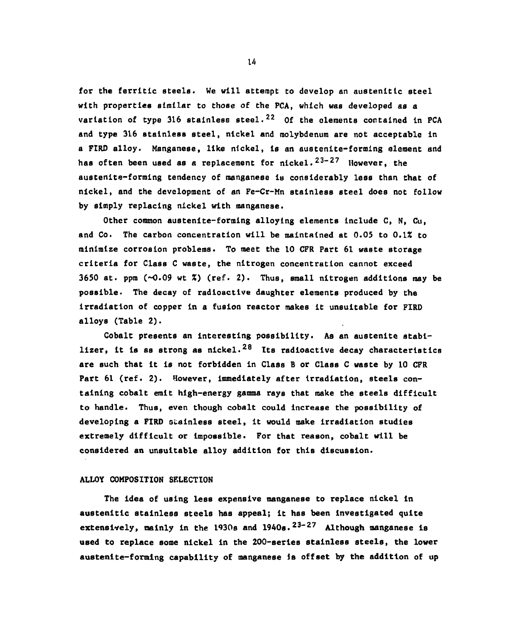for the ferritic steels. We will attempt to develop an austenitic steel with properties similar to those of the PCA, which was developed as a variation of type 316 stainless steel.<sup>22</sup> Of the elements contained in PCA and type 316 stainless steel, nickel and molybdenum are not acceptable in a FIRD alloy. Manganese, like nickel, is an austenite-forming element and has often been used as a replacement for nickel.<sup>23-27</sup> However, the austenlte-forming tendency of manganese la considerably less than that of nickel, and the development of an Fe-Cr-Mn stainless steel does not follow by simply replacing nickel with manganese.

Other common austenite-forming alloying elements include C, N, Cu, and Co. The carbon concentration will be maintained at 0.05 to 0.1% to minimize corrosion problems. To meet the 10 CFR Part 61 waste storage criteria for Class C waste, the nitrogen concentration cannot exceed 3650 at. ppm  $(\sim 0.09$  wt  $\zeta$ ) (ref. 2). Thus, small nitrogen additions may be possible. The decay of radioactive daughter elements produced by the irradiation of copper In a fusion reactor makes It unsuitable for FIRD alloys (Table 2).

Cobalt presents an interesting possibility. As an austenlte stabilizer, it is as strong as nickel.<sup>28</sup> Its radioactive decay characteristics are such that it is not forbidden In Class B or Class C waste by 10 CFR Part 61 (ref. 2). However, Immediately after irradiation, steels containing cobalt emit high-energy gamma rays that make the steels difficult to handle. Thus, even though cobalt could Increase the possibility of developing a FIRD stainless steel, it would make irradiation studies extremely difficult or impossible. For that reason, cobalt will be considered an unsuitable alloy addition for this discussion.

### ALLOY COMPOSITION SELECTION

The idea of using less expensive manganese to replace nickel in austenltlc stainless steels has appeal; it has been Investigated quite extensively, mainly in the 1930s and 1940s.<sup>23-27</sup> Although manganese is used to replace some nickel in the 200-serles stainless steels, the lower austenlte-forming capability of manganese Is offset by the addition of up

u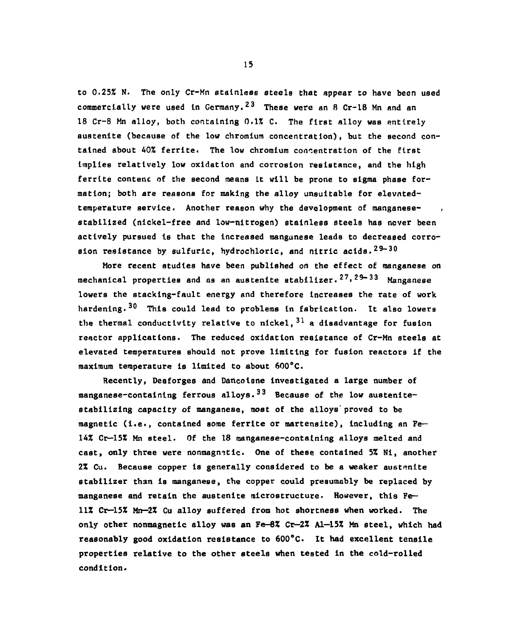to 0.25% N. The only Cr-Mn stainless steels that appear to have been used commercially were used in Germany.<sup>23</sup> These were an 8 Cr-18 Mn and an 18 Cr-8 Mn alloy, both containing 0.1% C. The first alloy was entirely austenlte (because of the low chromium concentration), but the second contained about 40% ferrlte. The low chromium concentration of the first Implies relatively low oxidation and corrosion resistance, and the high ferrite contenc of the second means It will be prone to sigma phase formation; both are reasons for making the alloy unsuitable for elevntedtemperature service. Another reason why the development of manganesestabilized (nickel-free and low-nitrogen) stainless steels has never been actively pursued Is that the increased manganese leads to decreased corrosion resistance by sulfuric, hydrochloric, and nitric acids.  $29-30$ 

More recent studies have been published on the effect of manganese on mechanical properties and as an austenite stabilizer.<sup>27,29–33</sup> Manganese lowers the stacklng-fault energy and therefore Increases the rate of work hardening.<sup>30</sup> This could lead to problems in fabrication. It also lowers the thermal conductivity relative to nickel,  $31\,$  a disadvantage for fusion reactor applications. The reduced oxidation resistance of Cr-Mn steels at elevated temperatures should not prove limiting for fusion reactors if the maximum temperature is limited to about 600°C.

Recently, Desforges and Dancolsne investigated a large number of manganese-containing ferrous alloys.<sup>33</sup> Because of the low austenitestabilizlng capacity of manganese, most of the alloys' proved to be magnetic (i.e., contained some ferrlte or martensite), including an Fe— 14% Cr-15% Mn steel. Of the 18 manganese-containing alloys melted and cast, only three were nonmagnetic. One of these contained 5% Nl, another 2% Cu. Because copper is generally considered to be a weaker austenite stabilizer than is manganese, the copper could presumably be replaced by manganese and retain the austenite microstructure. However, this Fell! Cr-15% Mn—2% Cu alloy suffered from hot shortness when worked. The only other nonmagnetic alloy was an Fe-8% *Cr—2%* Al—15% Mn steel, which had reasonably good oxidation resistance to 600°C. It had excellent tensile properties relative to the other steels when tested in the cold-rolled condition.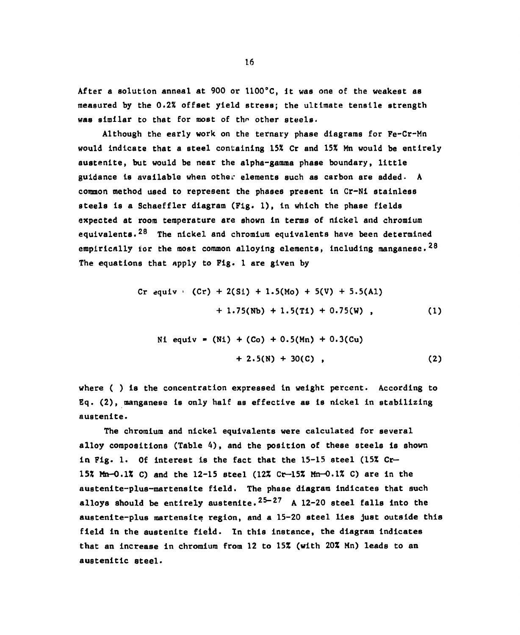After a solution anneal at 900 or 1100°C, It was one of the weakest as measured by the 0.2% offset yield stress; the ultimate tensile strength was similar to that for most of the other steels.

Although the early work on the ternary phase dlagrama for Fe-Cr-Mn would indicate that a steel containing 15% Cr and 15% Mn would be entirely austenlte, but would be near the alpha-gamma phase boundary, little guidance is available when other elements such aa carbon are added- A common method used to represent the phases present in Cr-Nl stainless steels is a Schaeffler diagram (Fig. 1), in which the phase fields expected at room temperature are shown in terms of nickel and chromium equivalents.<sup>28</sup> The nickel and chromium equivalents have been determined empirically for the most common alloying elements, including manganese.  $28$ The equations that Apply to Fig. 1 are given by

Cr 
$$
equiv : (Cr) + 2(Si) + 1.5(Mo) + 5(V) + 5.5(A1)
$$
  
+ 1.75(Nb) + 1.5(Ti) + 0.75(W), (1)

$$
N1 \text{ equiv} = (N1) + (Co) + 0.5(Mn) + 0.3(Cu)
$$
  
+ 2.5(N) + 30(C) , (2)

where ( ) is the concentration expressed in weight percent. According to Eq. (2), manganese Is only half as effective as is nickel in stabilizing austenlte.

The chromium and nickel equivalents were calculated for several alloy compositions (Table 4), and the position of these steels is shown in Fig. 1. Of interest is the fact that the 15-15 steel (15% Cr-15% Mn-0.1% C) and the 12-15 steel (12% Ct—15% Mn-0.1% C) are in the austenite-plus-martensite field. The phase diagram indicates that such alloys should be entirely austenite. $25-27$  A 12-20 steel falls into the austenlte-plus martensite region, and a 15-20 steel lies just outside this field in the austenlte field. In this Instance, the diagram indicates that an increase in chromium from 12 to 15% (with 20% Mn) leads to an austenltlc steel.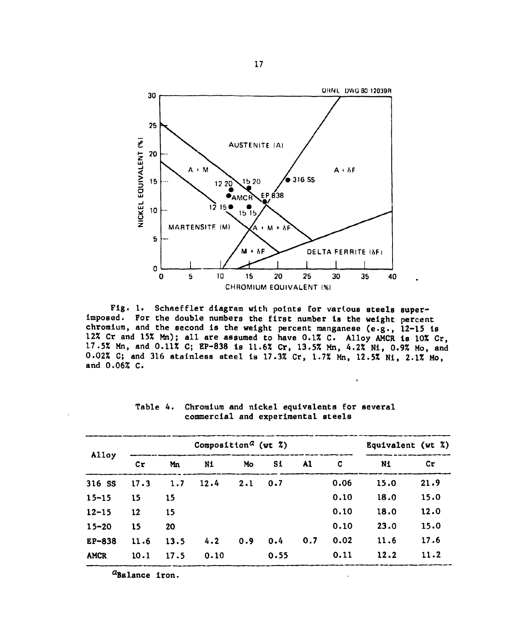

Fig. 1. Schaeffler diagram with points for various steels super-Imposed. For the double numbers the first number is the weight percent chromium, and the second is the weight percent manganese (e.g., 12-15 is 12% Cr and 15% Mn); all are assumed to have 0.1% C. Alloy AMCR is 10% Cr, 17.5% Mn, and 0.11% C; EP-838 is 11.6% Cr, 13.5% Mn, 4.2% Ni, 0.9% Mo, and 0.02% C; and 316 stainless steel is 17.3% Cr, 1.7% Mn, 12.5% Ni, 2.1% Mo, and 0.06% C.

| Alloy       | Composition <sup><i>a</i></sup> (wt $\tilde{z}$ ) |      |      |     |      |     |      | Equivalent (wt %) |      |
|-------------|---------------------------------------------------|------|------|-----|------|-----|------|-------------------|------|
|             | cr                                                | Mn   | N1   | Mo  | S1   | A1  | C    | N1                | Cr   |
| 316 SS      | 17.3                                              | 1.7  | 12.4 | 2.1 | 0.7  |     | 0.06 | 15.0              | 21.9 |
| $15 - 15$   | 15                                                | 15   |      |     |      |     | 0.10 | 18.0              | 15.0 |
| $12 - 15$   | 12                                                | 15   |      |     |      |     | 0.10 | 18.0              | 12.0 |
| $15 - 20$   | 15                                                | 20   |      |     |      |     | 0.10 | 23.0              | 15.0 |
| EP-838      | 11.6                                              | 13.5 | 4.2  | 0.9 | 0.4  | 0.7 | 0.02 | 11.6              | 17.6 |
| <b>AMCR</b> | 10.1                                              | 17.5 | 0.10 |     | 0.55 |     | 0.11 | 12.2              | 11.2 |

Table 4. Chromium and nickel equivalents for several commercial and experimental steels

 $\mathbf{r}$ 

<sup>a</sup>Balance iron.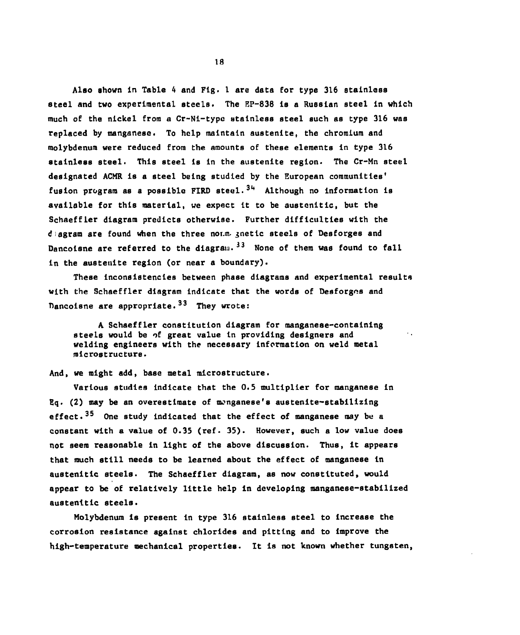Also shown in Table 4 and Fig. 1 are data for type 316 stainless steel and two experimental steels. The EP-838 Is a Russian steel In which much of the nickel from a Cr-Ni-type stainless steel such as type 316 was replaced by manganese. To help maintain austenlte, the chromium and molybdenum were reduced from the amounts of these elements In type 316 stainless steel. This steel Is in the austenite region. The Cr-Mn steel designated ACMR is a steel being studied by the European communities' fusion program as a possible FIRD steel.<sup>34</sup> Although no information is available for this material, we expect it to be austenltlc, but the Schaeffler diagram predicts otherwise. Further difficulties with the diagram are found when the three noun, jnetlc steels of Desforges and Dancoisne are referred to the diagram.<sup>33</sup> None of them was found to fall in the austenlte region (or near a boundary).

These inconsistencies between phase diagrams and experimental results with the Schaeffler diagram indicate that the words of Desforges and Dancoisne are appropriate.<sup>33</sup> They wrote:

A Schaeffler constitution diagram for manganese-containing steels would be of great value In providing designers and welding engineers with the necessary Information on weld metal microstructure.

 $\sim$   $\sim$ 

#### And, we might add, base metal microstructure.

Various studies Indicate that the 0.5 multiplier for manganese in  $g<sub>d</sub>$ . (2) may be an overestimate of monganese's austenite-stabilizing effect.<sup>35</sup> One study indicated that the effect of manganese may be a constant with a value of 0.35 (ref. 35). However, such a low value does not seem reasonable in light of the above discussion. Thus, it appears that much still needs to be learned about the effect of manganese In austenltlc steels. The Schaeffler diagram, as now constituted, would appear to be of relatively little help in developing manganese-stabilized austenltlc steels.

Molybdenum is present in type 316 stainless steel to Increase the corrosion resistance against chlorides and pitting and to Improve the high-temperature mechanical properties. It is not known whether tungsten,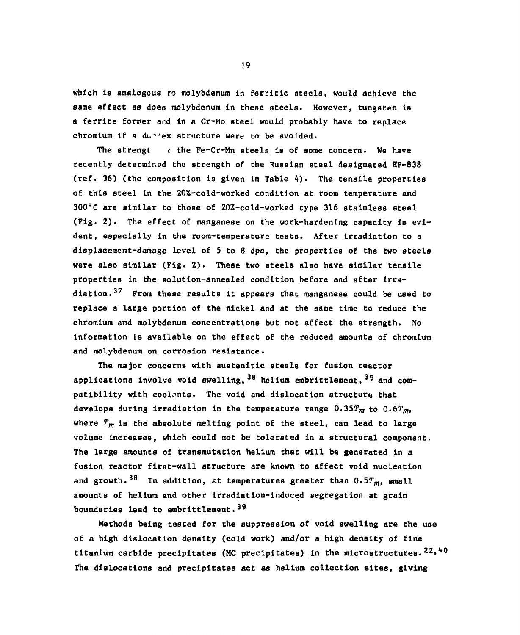which is analogous to molybdenum in ferritic steels, would achieve the aame effect as does molybdenum in these steels. However, tungsten is a ferrite former and in a Cr-Mo steel would probably have to replace chromium If a du^'ex structure were to be avoided.

The strengt  $\epsilon$  the Fe-Cr-Mn steels is of some concern. We have recently determined the strength of the Russian steel designated EP-838 (ref. 36) (the composition is given in Table 4). The tensile properties of this steel in the 20%-cold-worked condition at room temperature and 300°C are similar to those of 20%-cold-worked type 316 stainless steel (Fig. 2). The effect of manganese on the work-hardening capacity is evident, especially in the room-temperature tests. After irradiation to a displacement-damage level of 5 to 8 dpa, the properties of the two steels were also similar (Fig. 2). These two steels also have similar tensile properties in the solution-annealed condition before and after irradiation.<sup>37</sup> From these results it appears that manganese could be used to replace a large portion of the nickel and at the same time to reduce the chromium and molybdenum concentrations but not affect the strength. No information is available on the effect of the reduced amounts of chromium and molybdenum on corrosion resistance.

The major concerns with austenitic steels for fusion reactor applications involve void swelling, <sup>38</sup> helium embrittlement, <sup>39</sup> and compatibility with coolants. The void and dislocation structure that develops during irradiation In the temperature range *0.35Tm* to *Q.6Tm,*  where  $T_m$  is the absolute melting point of the steel, can lead to large volume Increases, which could not be tolerated in a structural component. The large amounts of transmutation helium that will be generated in a fusion reactor first-wall structure are known to affect void nucleatlon and growth.<sup>38</sup> In addition, at temperatures greater than  $0.5T_m$ , small amounts of helium and other Irradiation-induced segregation at grain boundaries lead to embrittlement.<sup>39</sup>

Methods being tested for the suppression of void swelling are the use of a high dislocation density (cold work) and/or a high density of fine titanium carbide precipitates (MC precipitates) in the microstructures.  $22,40$ The dislocations and precipitates act as helium collection sites, giving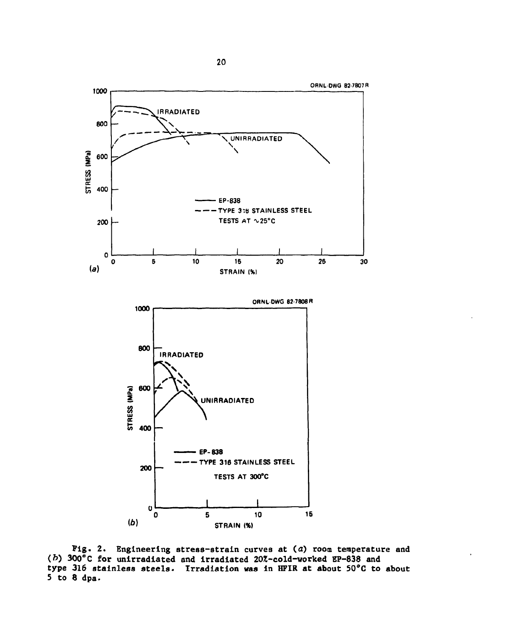

Fig. 2. Engineering stress-strain curves at (a) room temperature and ( $b$ ) 300°C for unirradiated and irradiated 20%-cold-worked EP-838 and type 316 stainless steels. Irradiation was in HFIR at about 50°C to about 5 to 8 dpa.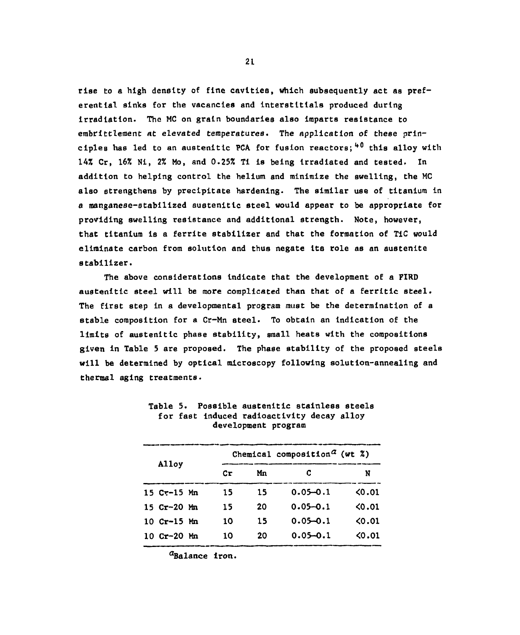rise to a high density of fine cavities, which subsequently act as preferential sinks for the vacancies and lnterstltlals produced during irradiation. The MC on grain boundaries also imparts resistance to erabrittleraent *at elevated* temperatures. The application of these principles has led to an austenitic PCA for fusion reactors;<sup>40</sup> this alloy with 14% Cr, 16% Nl, 2% Mo, and 0.25% Ti is being Irradiated and tested. In addition to helping control the helium and minimize the swelling, the MC also strengthens by precipitate hardening. The similar use of titanium in a manganese-stabilized austenitic steel would appear to be appropriate for providing swelling resistance and additional strength. Note, however, that titanium is a ferrlte stabilizer and that the formation of TIC would eliminate carbon from solution and thus negate Its role as an austenite stabilizer.

The above considerations indicate that the development of a FIRD austenitic steel will be more complicated than that of a ferritic steel. The first step in a developmental program must be the determination of a stable composition for a Cr-Mn steel. To obtain an indication of the limits of austenitic phase stability, small heats with the compositions given in Table 5 are proposed. The phase stability of the proposed steels will be determined by optical microscopy following solution-annealing and thermal aging treatments.

| Alloy |                                 |  |    | Chemical composition <sup><math>a</math></sup> (wt $z$ ) |              |                 |
|-------|---------------------------------|--|----|----------------------------------------------------------|--------------|-----------------|
|       |                                 |  | Cr | Mn                                                       | C            | N               |
|       | $15$ Cr-15 Mn                   |  | 15 | 15                                                       | $0.05 - 0.1$ | 0.01            |
|       | $15$ $Cr-20$ Mn                 |  | 15 | 20                                                       | $0.05 - 0.1$ | 0.01            |
|       | $10 \text{ Cr} - 15 \text{ Mn}$ |  | 10 | 15                                                       | $0.05 - 0.1$ | 0.01            |
|       | 10 $Cr-20$ Mn                   |  | 10 | 20                                                       | $0.05 - 0.1$ | <b>&lt;0.01</b> |

Table 5. Possible austenitic stainless steels for fast Induced radioactivity decay alloy development program

<sup>a</sup>Balance iron.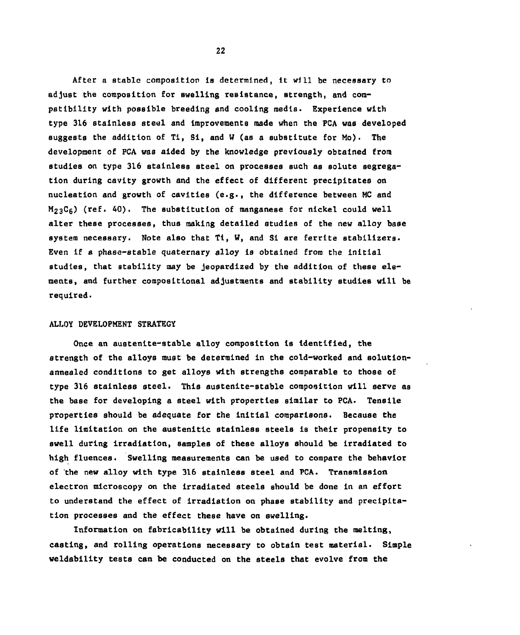After a stable composition is determined, it will be necessary to adjust the composition for swelling resistance, strength, and compatibility with possible breeding and cooling media. Experience with type 316 stainless steul and Improvements made when the PCA was developed suggests the addition of Tl, Si, and W (as a substitute for Mo). The development of PCA was aided by the knowledge previously obtained from studies on type 316 stainless steel on processes such as solute segregation during cavity growth and the effect of different precipitates on nucleatlon and growth of cavities (e.g., the difference between MC and  $M_{23}C_6$ ) (ref. 40). The substitution of manganese for nickel could well alter these processes, thus making detailed studies of the new alloy baae system necessary. Note also that Tl, W, and Si are ferrite stabilizers. Even if a phase-stable quaternary alloy is obtained from the initial studies, that stability may be Jeopardized by the addition of these elements, and further compositional adjustments and stability studies will be required.

#### ALLOY DEVELOPMENT STRATEGY

Once an austenlte-stable alloy composition is identified, the strength of the alloys must be determined in the cold-worked and solutionannealed conditions to get alloys with strengths comparable to those of type 316 stainless steel. This austenite-stable composition will serve as the base for developing a steel with properties similar to PCA. Tensile properties should be adequate for the initial comparisons. Because the life limitation on the austenitlc stainless steels Is their propensity to swell during irradiation, samples of these alloys should be irradiated to high fluences. Swelling measurements can be used to compare the behavior of the new alloy with type 316 stainless steel and PCA. Transmission electron microscopy on the irradiated steels should be done In an effort to understand the effect of irradiation on phase stability and precipitation processes and the effect these have on swelling.

Information on fabrlcablllty will be obtained during the melting, casting, and rolling operations necessary to obtain test material. Simple weldability tests can be conducted on the steels that evolve from the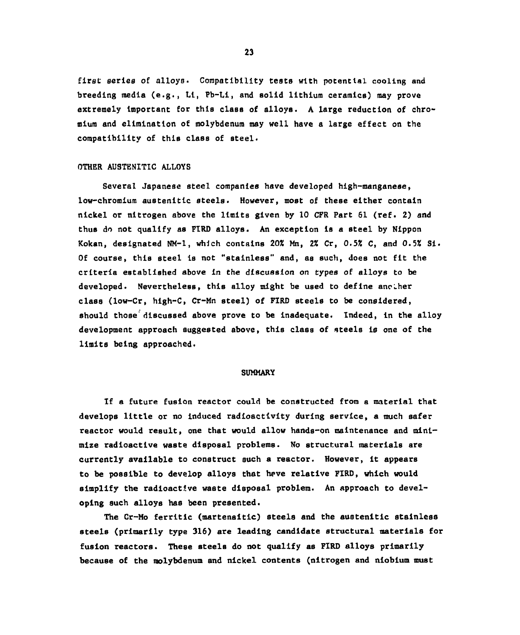first series of alloys. Compatibility tests with potential cooling and breeding media (e**.g.,** LI, Pb-Li, and solid lithium ceramics) may prove extremely Important for this class of alloys. A large reduction of chromium and elimination of molybdenum may well have a large effect on the compatibility of this class of steel.

#### OTHER AUSTENITIC ALLOYS

Several Japanese steel companies have developed high-manganese, low-chromium austenltlc steels. However, most of these either contain nickel or nitrogen above the limits given by 10 CFR Part 61 (ref. 2) and thus do not qualify as FIRD alloys. An exception is a steel by Nippon Kokan, designated NM-1, which contains 20% Mn, 2% Cr, *0.5%* C, and 0.5% SI. Of course, this steel is not "stainless" and, as such, does not fit the criteria established above in the discussion on types of alloys to be developed. Nevertheless, this alloy might be used to define anciher class (low-Cr, high-C, Cr-Mn steel) of FIRD steels to be considered, should those' discussed above prove to be inadequate. Indeed, in the alloy development approach suggested above, this class of steels is one of the limits being approached.

#### **SUMMARY**

If a future fusion reactor could be constructed from a material that develops little or no Induced radioactivity during service, a much safer reactor would result, one that would allow hands-on maintenance and minimize radioactive waste disposal problems. No structural materials are currently available to construct such a reactor. However, It appears to be possible to develop alloys that heve relative FIRD, which would simplify the radioactive waste disposal problem. An approach to developing such alloys has been presented.

The Cr-Mo ferrltlc (martensitic) steels and the austenltlc stainless steels (primarily type 316) are leading candidate structural materials for fusion reactors. These steels do not qualify as FIRD alloys primarily because of the molybdenum and nickel contents (nitrogen and niobium must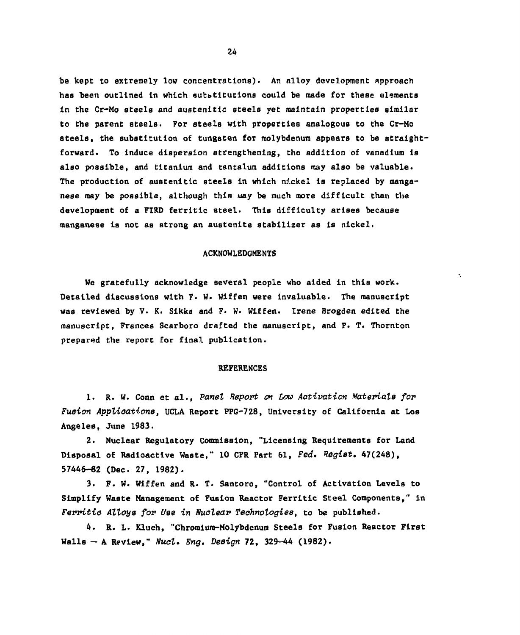be kept to extremely low concentrations). An alloy development approach has been outlined In which substitutions could be made for these elements in the Cr-Mo steels and austenitlc steels yet maintain properties similar to the parent ateela. For steels with properties analogous to the Cr-Mo steels, the substitution of tungsten fov molybdenum appears to be straightforward. To induce dispersion strengthening, the addition of vanadium is also possible, and titanium and tantalum additions may also be valuable. The production of austenitlc steels in which nickel is replaced by manganese may be possible, although this way be much more difficult than the development of a FIRD ferritlc steel. This difficulty arises because manganese is not as strong an austenite stabilizer as is nickel.

#### ACKNOWLEDGMENTS

We gratefully acknowledge several people who aided in this work. Detailed discussions with F. W. Wiffen were invaluable. The manuscript was reviewed by V. K. Sikka and F. W. Wiffen. Irene Brogden edited the manuscript, Frances Scarboro drafted the manuscript, and P. T. Thornton prepared the report for final publication.

#### REFERENCES

1. R. W. Conn et al., *Panel Report on Low Activation Materials for Fusion Applications,* UCLA Report PPG-728, University of California at Los Angeles, June 1983.

2. Nuclear Regulatory Commission, "Licensing Requirements for Land Disposal of Radioactive Waste," 10 CFR Part 61, Fed. Regist. 47(248), 57446-82 (Dec. 27, 1982).

3. F. W. Wiffen and R- T. Santoro, "Control of Activation Levels to Simplify Waste Management of Fusion Reactor Ferritlc Steel Components," in *Ferritio Alloys for Use in Nuolear Technologies*, to be published.

4. R. L. Klueh, "Chromium-Molybdenum Steels for Fusion Reactor First Walls - A Review," *Nual. Eng. Design* 72, 329-44 (1982).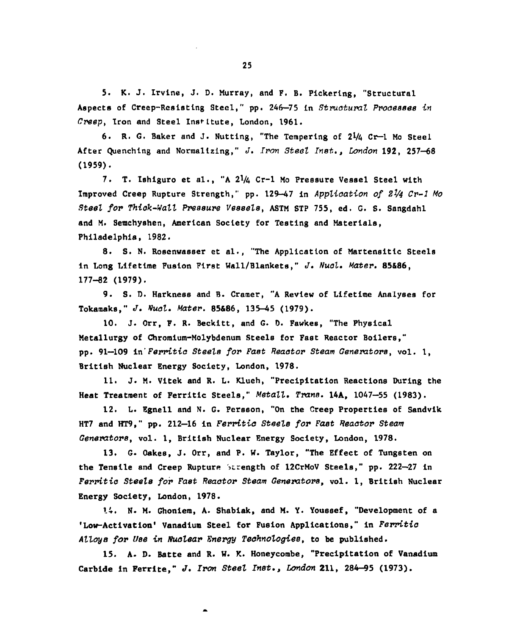5. K. J. Irvine, J. D. Murray, and F. B. Pickering, "Structural Aspects of Creep-Resisting Steel," pp. 246—75 in *Structural Processes in Creep,* Iron and Steel Inst-Ltute, London, 1961.

6. R. G. Baker and J. Nutting, "The Tempering of  $2\frac{1}{4}$  Cr-1 Mo Steel After Quenching and Normalizing," *J*. *Iron Steel Inst., London* 192, 257-68 (1959).

7. T. Ishiguro et al., "A 21/4 Cr-1 Mo Pressure Vessel Steel with Improved Creep Rupture Strength," pp. 129-47 in *Application of 21/4 Cr-1 Mo Steel for Thick-Wall Pressure Vessels,* ASTM STP 755, ed. G. S. Sangdahl and M. Semchyshen, American Society for Testing and Materials, Philadelphia, 1982.

8. S. N. Rosenwasser et al., "The Application of Martenaitlc Steels In Long Lifetime Fusion First Wall/Blankets," *J. Nucl. Mater.* 85&86, 177-82 (1979).

9. S. D. Harkness and B. Cramer, "A Review of Lifetime Analyses for Tokamaka," *J. Nucl. Mater.* 85&86, 135-45 (1979).

10. J. Orr, F. R. Beckltt, and G. 0. Fawkes, "The Physical Metallurgy of Chromium-Molybdenum Steels for Fast Reactor Boilers," pp. 91—109 in'*Ferritic Steele for Fast Reactor Steam Generators,* vol. 1, British Nuclear Energy Society, London, 1978.

11. J. M. Vltek and R. L. Klueh, "Precipitation Reactions During the Heat Treatment of Ferritic Steels," *Metall. Trans.* 14A, 1047—55 (1983).

12. L. Egnell and N. G. Persson, "On the Creep Properties of Sandvlk HT7 and HT9," pp. 212-16 in *Ferritic Steele for Fast Reactor Steam Generators,* vol. 1, British Nuclear Energy Society, London, 1978.

13. G. Oakes, J. Orr, and P. W. Taylor, "The Effect of Tungsten on the Tensile and Creep Rupture Strength of 12CrMoV Steels," pp. 222—27 in *Ferritic Steels for Fast Reactor Steam Generators*, vol. 1, British Nuclear Energy Society, London, 1978.

14. N. M. Ghoniem, A. Shablak, and M. Y. Youssef, "Development of a 'Low-Activation\* Vanadium Steel for Fusion Applications," in *Ferritic Alloy8 for Use in Nuclear Energy Technologies,* to be published.

15. A- D. Batte and R. W. K. Honeycombe, "Precipitation of Vanadium Carbide in Ferrite," *J. Iron Steel Inst., London* 211, 284-95 (1973).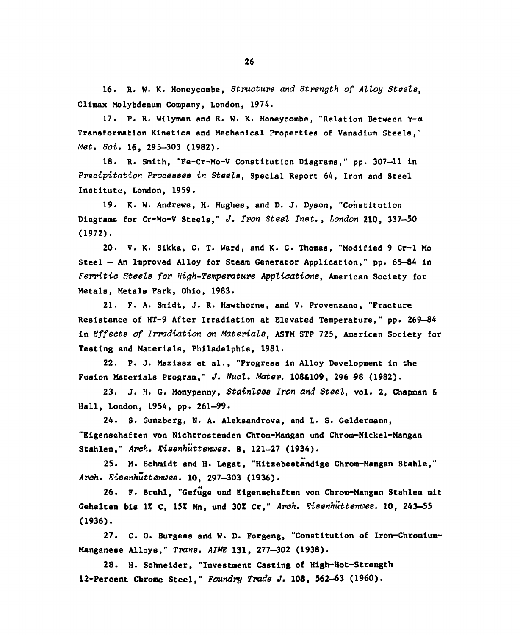16. R. W. K. Honeycombe, *Structure and Strength of Alloy Steele,*  Climax Molybdenum Company, London, 1974.

17. P. R. Wllyman and R. W. K. Honeycombe, "Relation Between Y-a Transformation Kinetics and Mechanical Properties of Vanadium Steels," *Met. Soi.* 16, 295-303 (1982).

18. R. Smith, "Fe-Cr-Mo-V Constitution Diagrams," pp. 307-11 in *Precipitation Processes in Steele,* Special Report 64, Iron and Steel Institute, London, 1959.

19. K. W. Andrews, H. Hughes, and D. J. Dyson, "Constitution Diagrams for Cr-Mo-V Steels," *J. Iron Steel Inst., London* 210, 337-50 (1972).

20. V. K. Sikka, C. T. Ward, and K. C. Thomas, "Modified 9 Cr-1 Mo Steel — An Improved Alloy for Steam Generator Application," pp. 65-84 in *Fervitic Steele for High —Temperature Applications,* American Society for Metals, Metals Park, Ohio, 1983.

21. F. A. Smidt, J. R. Hawthorne, and V. Provenzano, "Fracture Resistance of HT-9 After Irradiation at Elevated Temperature," pp. 269—84 in *Effects of Irradiation on Materials*, ASTM STP 725, American Society for Testing and Materials, Philadelphia, 1981.

22. P. J. Maziasz et al., "Progress in Alloy Development in the Fusion Materials Program," *J. Nucl. Mater.* 1084109, 296-98 (1982).

23. J. H. G. Monypenny, *Stainless Iron and Steel,* vol. 2, Chapman & Hall, London, 1954, pp. 261-99.

24. S. Gunzberg, N. A. Aleksandrova, and L. S. Geldermann, "Elgenschaften von Nichtrostenden Chrom-Mangan und Chrom-Nickel-Mangan Stahlen," *Arch. Eisenhuttenwee*. 8, 121-27 (1934).

25. M. Schmidt and H. Legat, "Hitzebestandige Chrom-Mangan Stable," *Arch. Eisenhuttenwes.* 10, 297-303 (1936).

26. F. Bruhl, "Gefuge und Elgenschaften von Chrom-Mangan Stahlen mlt Gehalten bis IX C, 15% Mn, und 30% Cr," *Arch. Eieenhuttermee.* 10, 243-55 (1936).

27. C. 0. Burgess and W. D. Forgeng, "Constitution of Iron-Chromlum-Manganese Alloys," *Trans. AIME* 131, 277-302 (1938).

28. H. Schneider, "Investment Casting of High-Hot-Strength 12-Percent Chrome Steel," *Foundry Trade J.* 108, 562-63 (1960).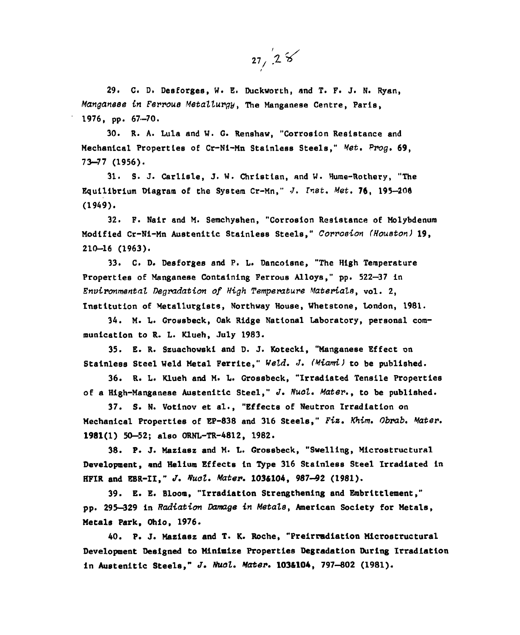$27/28$ 

29. C. D. Desforges, W. E. Duckworth, and T. F. J. N. Ryan, *Manganese in Ferrous Metallurgy,* The Manganese Centre, Paris, 1976, pp. 67-70.

30. R. A. Lula and W. G. Renshaw, "Corrosion Resistance and Mechanical Properties of Cr-Ni-Mn Stainless Steels," *Met. Prog.* 69, 73-77 (1956).

31. S. J. Carlisle, J. W. Christian, and W. Hurae-Rothery, "The Equilibrium Diagram of the System Cr-Mn," *Xnet. Met.* 76, 195-200 (1949).

32. F. Nair and M. Semchyshen, "Corrosion Resistance of Molybdenum Modified Cr-Ni-Mn Austenitic Stainless Steels," *Corrosion (Houston)* 19, 210-16 (1963).

33. C. D. Desforges and P. L. Dancoisne, "The High Temperature Properties of Manganese Containing Ferrous Alloys," pp. 522—37 in *Environmental Degradation of High Temperature Materials,* vol. 2, Institution of Metallurgists, Northway House, Whetstone, London, 1981.

34. M. L. Grossbeck, Oak Ridge National Laboratory, personal communication to R. L. Klueh, July 1983.

35. E. R. Szuachowski and D. J. Kotecki, "Manganese Effect on Stainless Steel Weld Metal Ferrlte," *Weld. J. (Miami)* to be published.

36. R. L. Klueh and M. L. Grossbeck, "Irradiated Tensile Properties of a High-Manganese Austenitic Steel," J. Nucl. Mater., to be published.

37. S. N. Votlnov et al., "Effects of Neutron Irradiation on Mechanical Properties of EP-838 and 316 Steels," *Fiz. Khim. Obrab. Mater.*  1981(1) 50-52; also ORNL-TR-4812, 1982.

38. P. J. Maziasz and M. L. Grossbeck, "Swelling, Microstructural Development, and Helium Effects In Type 316 Stainless Steel Irradiated in HFIR and EBR-II," *J. Vual. Mater.* 103&104, 987-92 (1981).

39. E. E. Bloom, "Irradiation Strengthening and Embrlttlement," pp. 295—329 in *Radiation Damage in Metals,* American Society for Metals, Metals Park, Ohio, 1976.

40. P. J. Maziasz and T. K. Roche, "Preirradiation Microstructural Development Designed to Minimize Properties Degradation During Irradiation In AuBtenltlc Steels," *J. Nuol. Mater.* 1036104, 797-802 (1981).